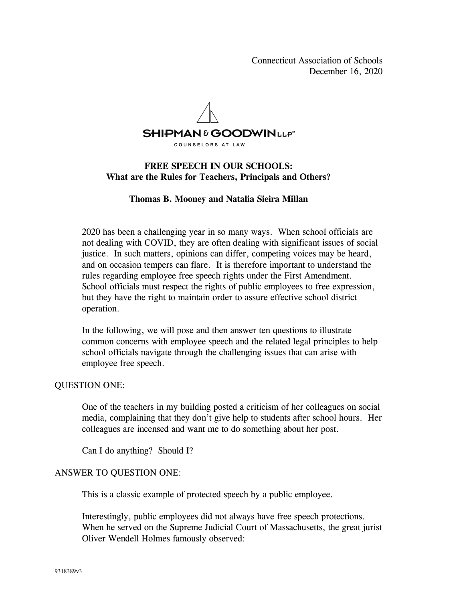Connecticut Association of Schools December 16, 2020



## **FREE SPEECH IN OUR SCHOOLS: What are the Rules for Teachers, Principals and Others?**

### **Thomas B. Mooney and Natalia Sieira Millan**

2020 has been a challenging year in so many ways. When school officials are not dealing with COVID, they are often dealing with significant issues of social justice. In such matters, opinions can differ, competing voices may be heard, and on occasion tempers can flare. It is therefore important to understand the rules regarding employee free speech rights under the First Amendment. School officials must respect the rights of public employees to free expression, but they have the right to maintain order to assure effective school district operation.

In the following, we will pose and then answer ten questions to illustrate common concerns with employee speech and the related legal principles to help school officials navigate through the challenging issues that can arise with employee free speech.

#### QUESTION ONE:

One of the teachers in my building posted a criticism of her colleagues on social media, complaining that they don't give help to students after school hours. Her colleagues are incensed and want me to do something about her post.

Can I do anything? Should I?

#### ANSWER TO QUESTION ONE:

This is a classic example of protected speech by a public employee.

Interestingly, public employees did not always have free speech protections. When he served on the Supreme Judicial Court of Massachusetts, the great jurist Oliver Wendell Holmes famously observed: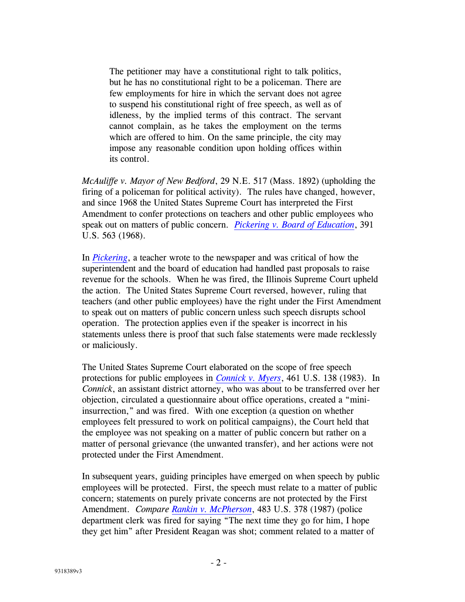The petitioner may have a constitutional right to talk politics, but he has no constitutional right to be a policeman. There are few employments for hire in which the servant does not agree to suspend his constitutional right of free speech, as well as of idleness, by the implied terms of this contract. The servant cannot complain, as he takes the employment on the terms which are offered to him. On the same principle, the city may impose any reasonable condition upon holding offices within its control.

*McAuliffe v. Mayor of New Bedford*, 29 N.E. 517 (Mass. 1892) (upholding the firing of a policeman for political activity). The rules have changed, however, and since 1968 the United States Supreme Court has interpreted the First Amendment to confer protections on teachers and other public employees who speak out on matters of public concern. *[Pickering v. Board of Education](http://www.lawadmin.com/sg/link.asp?i=7687)*, 391 U.S. 563 (1968).

In *[Pickering](http://www.lawadmin.com/sg/link.asp?i=7687)*, a teacher wrote to the newspaper and was critical of how the superintendent and the board of education had handled past proposals to raise revenue for the schools. When he was fired, the Illinois Supreme Court upheld the action. The United States Supreme Court reversed, however, ruling that teachers (and other public employees) have the right under the First Amendment to speak out on matters of public concern unless such speech disrupts school operation. The protection applies even if the speaker is incorrect in his statements unless there is proof that such false statements were made recklessly or maliciously.

The United States Supreme Court elaborated on the scope of free speech protections for public employees in *[Connick v. Myers](http://www.lawadmin.com/sg/link.asp?i=7709)*, 461 U.S. 138 (1983). In *Connick*, an assistant district attorney, who was about to be transferred over her objection, circulated a questionnaire about office operations, created a "miniinsurrection," and was fired. With one exception (a question on whether employees felt pressured to work on political campaigns), the Court held that the employee was not speaking on a matter of public concern but rather on a matter of personal grievance (the unwanted transfer), and her actions were not protected under the First Amendment.

In subsequent years, guiding principles have emerged on when speech by public employees will be protected. First, the speech must relate to a matter of public concern; statements on purely private concerns are not protected by the First Amendment. *Compare [Rankin v. McPherson](http://www.lawadmin.com/sg/link.asp?i=7721)*, 483 U.S. 378 (1987) (police department clerk was fired for saying "The next time they go for him, I hope they get him" after President Reagan was shot; comment related to a matter of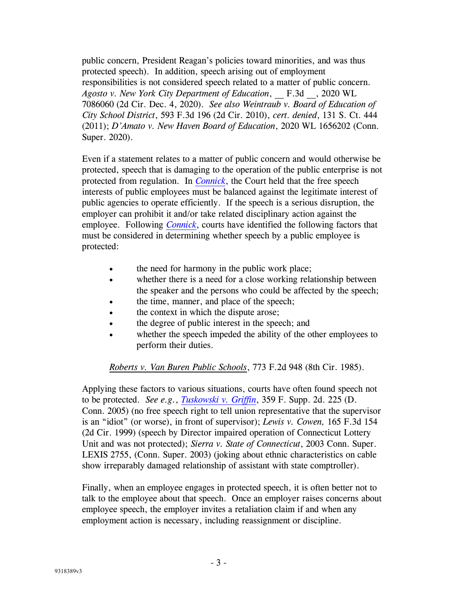public concern, President Reagan's policies toward minorities, and was thus protected speech). In addition, speech arising out of employment responsibilities is not considered speech related to a matter of public concern. *Agosto v. New York City Department of Education*, \_\_ F.3d \_\_, 2020 WL 7086060 (2d Cir. Dec. 4, 2020). *See also Weintraub v. Board of Education of City School District*, 593 F.3d 196 (2d Cir. 2010), *cert. denied*, 131 S. Ct. 444 (2011); *D'Amato v. New Haven Board of Education*, 2020 WL 1656202 (Conn. Super. 2020).

Even if a statement relates to a matter of public concern and would otherwise be protected, speech that is damaging to the operation of the public enterprise is not protected from regulation. In *[Connick](http://www.lawadmin.com/sg/link.asp?i=7709)*, the Court held that the free speech interests of public employees must be balanced against the legitimate interest of public agencies to operate efficiently. If the speech is a serious disruption, the employer can prohibit it and/or take related disciplinary action against the employee. Following *[Connick](http://www.lawadmin.com/sg/link.asp?i=7709)*, courts have identified the following factors that must be considered in determining whether speech by a public employee is protected:

- the need for harmony in the public work place;
- whether there is a need for a close working relationship between the speaker and the persons who could be affected by the speech;
- the time, manner, and place of the speech;
- the context in which the dispute arose;
- the degree of public interest in the speech; and
- whether the speech impeded the ability of the other employees to perform their duties.

#### *Roberts v. Van Buren Public Schools*, 773 F.2d 948 (8th Cir. 1985).

Applying these factors to various situations, courts have often found speech not to be protected. *See e.g.*, *[Tuskowski v. Griffin](http://www.lawadmin.com/sg/gendocs/031405.DJSTuskowski.pdf)*, 359 F. Supp. 2d. 225 (D. Conn. 2005) (no free speech right to tell union representative that the supervisor is an "idiot" (or worse), in front of supervisor); *Lewis v. Cowen,* 165 F.3d 154 (2d Cir. 1999) (speech by Director impaired operation of Connecticut Lottery Unit and was not protected); *Sierra v. State of Connecticut*, 2003 Conn. Super. LEXIS 2755, (Conn. Super. 2003) (joking about ethnic characteristics on cable show irreparably damaged relationship of assistant with state comptroller).

Finally, when an employee engages in protected speech, it is often better not to talk to the employee about that speech. Once an employer raises concerns about employee speech, the employer invites a retaliation claim if and when any employment action is necessary, including reassignment or discipline.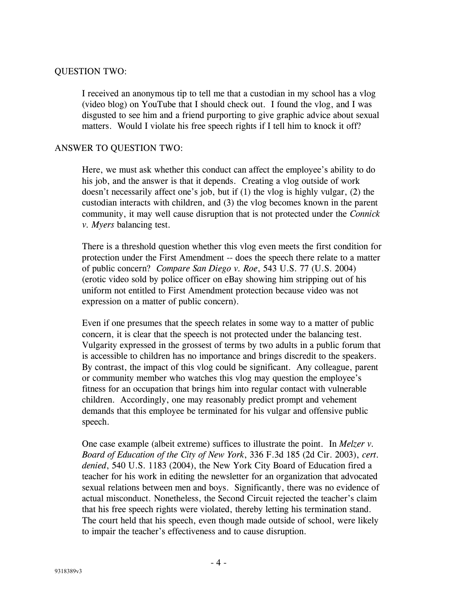## QUESTION TWO:

I received an anonymous tip to tell me that a custodian in my school has a vlog (video blog) on YouTube that I should check out. I found the vlog, and I was disgusted to see him and a friend purporting to give graphic advice about sexual matters. Would I violate his free speech rights if I tell him to knock it off?

### ANSWER TO QUESTION TWO:

Here, we must ask whether this conduct can affect the employee's ability to do his job, and the answer is that it depends. Creating a vlog outside of work doesn't necessarily affect one's job, but if (1) the vlog is highly vulgar, (2) the custodian interacts with children, and (3) the vlog becomes known in the parent community, it may well cause disruption that is not protected under the *Connick v. Myers* balancing test.

There is a threshold question whether this vlog even meets the first condition for protection under the First Amendment -- does the speech there relate to a matter of public concern? *Compare San Diego v. Roe*, 543 U.S. 77 (U.S. 2004) (erotic video sold by police officer on eBay showing him stripping out of his uniform not entitled to First Amendment protection because video was not expression on a matter of public concern).

Even if one presumes that the speech relates in some way to a matter of public concern, it is clear that the speech is not protected under the balancing test. Vulgarity expressed in the grossest of terms by two adults in a public forum that is accessible to children has no importance and brings discredit to the speakers. By contrast, the impact of this vlog could be significant. Any colleague, parent or community member who watches this vlog may question the employee's fitness for an occupation that brings him into regular contact with vulnerable children. Accordingly, one may reasonably predict prompt and vehement demands that this employee be terminated for his vulgar and offensive public speech.

One case example (albeit extreme) suffices to illustrate the point. In *Melzer v. Board of Education of the City of New York*, 336 F.3d 185 (2d Cir. 2003), *cert. denied*, 540 U.S. 1183 (2004), the New York City Board of Education fired a teacher for his work in editing the newsletter for an organization that advocated sexual relations between men and boys. Significantly, there was no evidence of actual misconduct. Nonetheless, the Second Circuit rejected the teacher's claim that his free speech rights were violated, thereby letting his termination stand. The court held that his speech, even though made outside of school, were likely to impair the teacher's effectiveness and to cause disruption.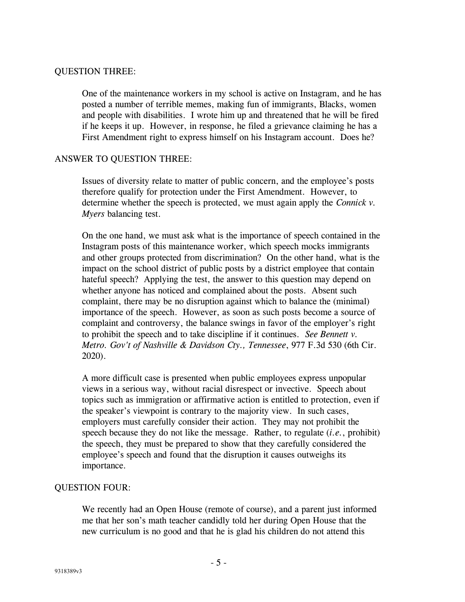## QUESTION THREE:

One of the maintenance workers in my school is active on Instagram, and he has posted a number of terrible memes, making fun of immigrants, Blacks, women and people with disabilities. I wrote him up and threatened that he will be fired if he keeps it up. However, in response, he filed a grievance claiming he has a First Amendment right to express himself on his Instagram account. Does he?

## ANSWER TO QUESTION THREE:

Issues of diversity relate to matter of public concern, and the employee's posts therefore qualify for protection under the First Amendment. However, to determine whether the speech is protected, we must again apply the *Connick v. Myers* balancing test.

On the one hand, we must ask what is the importance of speech contained in the Instagram posts of this maintenance worker, which speech mocks immigrants and other groups protected from discrimination? On the other hand, what is the impact on the school district of public posts by a district employee that contain hateful speech? Applying the test, the answer to this question may depend on whether anyone has noticed and complained about the posts. Absent such complaint, there may be no disruption against which to balance the (minimal) importance of the speech. However, as soon as such posts become a source of complaint and controversy, the balance swings in favor of the employer's right to prohibit the speech and to take discipline if it continues. *See Bennett v. Metro. Gov't of Nashville & Davidson Cty., Tennessee*, 977 F.3d 530 (6th Cir. 2020).

A more difficult case is presented when public employees express unpopular views in a serious way, without racial disrespect or invective. Speech about topics such as immigration or affirmative action is entitled to protection, even if the speaker's viewpoint is contrary to the majority view. In such cases, employers must carefully consider their action. They may not prohibit the speech because they do not like the message. Rather, to regulate (*i.e.*, prohibit) the speech, they must be prepared to show that they carefully considered the employee's speech and found that the disruption it causes outweighs its importance.

## QUESTION FOUR:

We recently had an Open House (remote of course), and a parent just informed me that her son's math teacher candidly told her during Open House that the new curriculum is no good and that he is glad his children do not attend this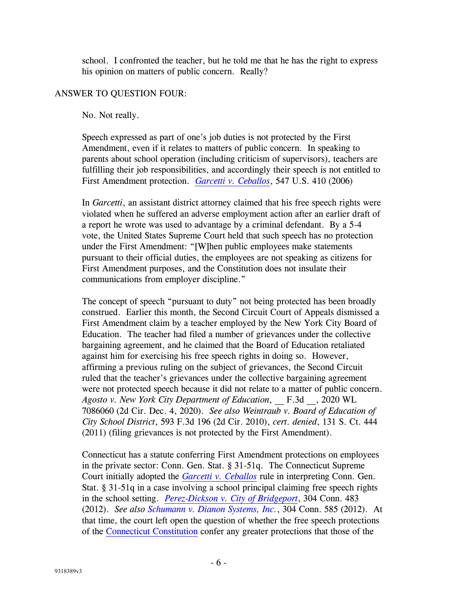school. I confronted the teacher, but he told me that he has the right to express his opinion on matters of public concern. Really?

# ANSWER TO QUESTION FOUR:

No. Not really.

Speech expressed as part of one's job duties is not protected by the First Amendment, even if it relates to matters of public concern. In speaking to parents about school operation (including criticism of supervisors), teachers are fulfilling their job responsibilities, and accordingly their speech is not entitled to First Amendment protection. *[Garcetti v. Ceballos](http://www.lawadmin.com/sg/link.asp?i=8190)*, 547 U.S. 410 (2006)

In *Garcetti*, an assistant district attorney claimed that his free speech rights were violated when he suffered an adverse employment action after an earlier draft of a report he wrote was used to advantage by a criminal defendant. By a 5-4 vote, the United States Supreme Court held that such speech has no protection under the First Amendment: "[W]hen public employees make statements pursuant to their official duties, the employees are not speaking as citizens for First Amendment purposes, and the Constitution does not insulate their communications from employer discipline."

The concept of speech "pursuant to duty" not being protected has been broadly construed. Earlier this month, the Second Circuit Court of Appeals dismissed a First Amendment claim by a teacher employed by the New York City Board of Education. The teacher had filed a number of grievances under the collective bargaining agreement, and he claimed that the Board of Education retaliated against him for exercising his free speech rights in doing so. However, affirming a previous ruling on the subject of grievances, the Second Circuit ruled that the teacher's grievances under the collective bargaining agreement were not protected speech because it did not relate to a matter of public concern. *Agosto v. New York City Department of Education*, \_\_ F.3d \_\_, 2020 WL 7086060 (2d Cir. Dec. 4, 2020). *See also Weintraub v. Board of Education of City School District*, 593 F.3d 196 (2d Cir. 2010), *cert. denied*, 131 S. Ct. 444 (2011) (filing grievances is not protected by the First Amendment).

Connecticut has a statute conferring First Amendment protections on employees in the private sector: Conn. Gen. Stat. § 31-51q. The Connecticut Supreme Court initially adopted the *[Garcetti v. Ceballos](http://www.lawadmin.com/sg/link.asp?i=8190)* rule in interpreting Conn. Gen. Stat. § 31-51q in a case involving a school principal claiming free speech rights in the school setting. *[Perez-Dickson v. City of Bridgeport](http://www.lawadmin.com/sg/gendocs/304CR124.pdf)*, 304 Conn. 483 (2012). *See also [Schumann v. Dianon Systems, Inc.](http://www.lawadmin.com/sg/gendocs/304CR125.pdf)*, 304 Conn. 585 (2012). At that time, the court left open the question of whether the free speech protections of the [Connecticut Constitution](http://www.lawadmin.com/sg/link.asp?i=8103) confer any greater protections that those of the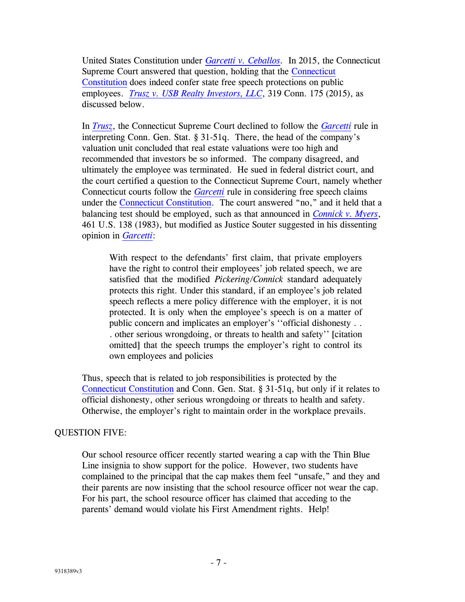United States Constitution under *[Garcetti v. Ceballos.](http://www.lawadmin.com/sg/link.asp?i=8190)* In 2015, the Connecticut Supreme Court answered that question, holding that the [Connecticut](http://www.lawadmin.com/sg/link.asp?i=8103)  [Constitution](http://www.lawadmin.com/sg/link.asp?i=8103) does indeed confer state free speech protections on public employees. *[Trusz v. USB Realty Investors, LLC](http://www.lawadmin.com/sg/gendocs/319CR91.pdf)*, 319 Conn. 175 (2015), as discussed below.

In *[Trusz](http://www.lawadmin.com/sg/gendocs/319CR91.pdf)*, the Connecticut Supreme Court declined to follow the *[Garcetti](http://www.lawadmin.com/sg/link.asp?i=8190)* rule in interpreting Conn. Gen. Stat. § 31-51q. There, the head of the company's valuation unit concluded that real estate valuations were too high and recommended that investors be so informed. The company disagreed, and ultimately the employee was terminated. He sued in federal district court, and the court certified a question to the Connecticut Supreme Court, namely whether Connecticut courts follow the *[Garcetti](http://www.lawadmin.com/sg/link.asp?i=8190)* rule in considering free speech claims under the [Connecticut Constitution](http://www.lawadmin.com/sg/link.asp?i=8103). The court answered "no," and it held that a balancing test should be employed, such as that announced in *[Connick v. Myers](http://www.lawadmin.com/sg/link.asp?i=7709)*, 461 U.S. 138 (1983), but modified as Justice Souter suggested in his dissenting opinion in *[Garcetti](http://www.lawadmin.com/sg/link.asp?i=8190)*:

With respect to the defendants' first claim, that private employers have the right to control their employees' job related speech, we are satisfied that the modified *Pickering/Connick* standard adequately protects this right. Under this standard, if an employee's job related speech reflects a mere policy difference with the employer, it is not protected. It is only when the employee's speech is on a matter of public concern and implicates an employer's ''official dishonesty . . . other serious wrongdoing, or threats to health and safety'' [citation omitted] that the speech trumps the employer's right to control its own employees and policies

Thus, speech that is related to job responsibilities is protected by the [Connecticut Constitution](http://www.lawadmin.com/sg/link.asp?i=8103) and Conn. Gen. Stat. § 31-51q, but only if it relates to official dishonesty, other serious wrongdoing or threats to health and safety. Otherwise, the employer's right to maintain order in the workplace prevails.

## QUESTION FIVE:

Our school resource officer recently started wearing a cap with the Thin Blue Line insignia to show support for the police. However, two students have complained to the principal that the cap makes them feel "unsafe," and they and their parents are now insisting that the school resource officer not wear the cap. For his part, the school resource officer has claimed that acceding to the parents' demand would violate his First Amendment rights. Help!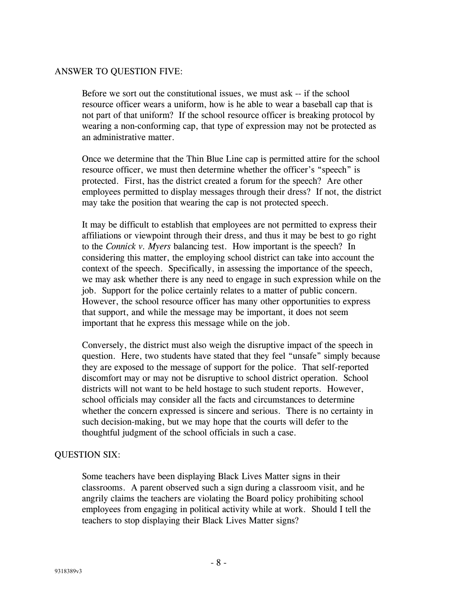## ANSWER TO QUESTION FIVE:

Before we sort out the constitutional issues, we must ask -- if the school resource officer wears a uniform, how is he able to wear a baseball cap that is not part of that uniform? If the school resource officer is breaking protocol by wearing a non-conforming cap, that type of expression may not be protected as an administrative matter.

Once we determine that the Thin Blue Line cap is permitted attire for the school resource officer, we must then determine whether the officer's "speech" is protected. First, has the district created a forum for the speech? Are other employees permitted to display messages through their dress? If not, the district may take the position that wearing the cap is not protected speech.

It may be difficult to establish that employees are not permitted to express their affiliations or viewpoint through their dress, and thus it may be best to go right to the *Connick v. Myers* balancing test. How important is the speech? In considering this matter, the employing school district can take into account the context of the speech. Specifically, in assessing the importance of the speech, we may ask whether there is any need to engage in such expression while on the job. Support for the police certainly relates to a matter of public concern. However, the school resource officer has many other opportunities to express that support, and while the message may be important, it does not seem important that he express this message while on the job.

Conversely, the district must also weigh the disruptive impact of the speech in question. Here, two students have stated that they feel "unsafe" simply because they are exposed to the message of support for the police. That self-reported discomfort may or may not be disruptive to school district operation. School districts will not want to be held hostage to such student reports. However, school officials may consider all the facts and circumstances to determine whether the concern expressed is sincere and serious. There is no certainty in such decision-making, but we may hope that the courts will defer to the thoughtful judgment of the school officials in such a case.

#### QUESTION SIX:

Some teachers have been displaying Black Lives Matter signs in their classrooms. A parent observed such a sign during a classroom visit, and he angrily claims the teachers are violating the Board policy prohibiting school employees from engaging in political activity while at work. Should I tell the teachers to stop displaying their Black Lives Matter signs?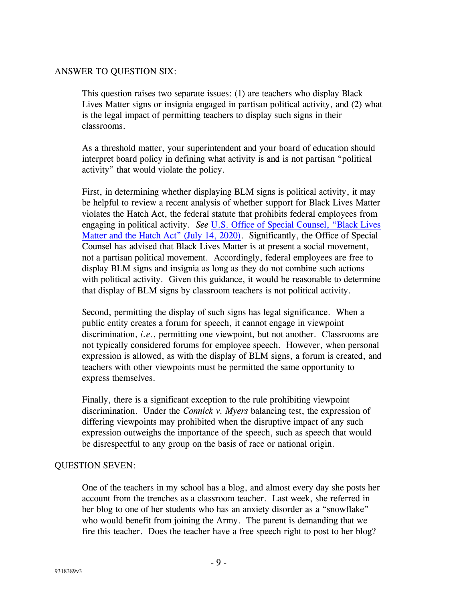### ANSWER TO QUESTION SIX:

This question raises two separate issues: (1) are teachers who display Black Lives Matter signs or insignia engaged in partisan political activity, and (2) what is the legal impact of permitting teachers to display such signs in their classrooms.

As a threshold matter, your superintendent and your board of education should interpret board policy in defining what activity is and is not partisan "political activity" that would violate the policy.

First, in determining whether displaying BLM signs is political activity, it may be helpful to review a recent analysis of whether support for Black Lives Matter violates the Hatch Act, the federal statute that prohibits federal employees from engaging in political activity. *See* [U.S. Office of Special Counsel, "Black Lives](https://prd-wret.s3.us-west-2.amazonaws.com/assets/palladium/production/atoms/files/Office%20of%20Special%20Counsel%20%28OSC.gov%29%20advisory%20on%20Black%20Lives%20Matter%20and%20the%20Hatch%20Act%20%28July%2014%2C%202020%29.pdf)  Matter and [the Hatch Act" \(July 14, 2020\)](https://prd-wret.s3.us-west-2.amazonaws.com/assets/palladium/production/atoms/files/Office%20of%20Special%20Counsel%20%28OSC.gov%29%20advisory%20on%20Black%20Lives%20Matter%20and%20the%20Hatch%20Act%20%28July%2014%2C%202020%29.pdf). Significantly, the Office of Special Counsel has advised that Black Lives Matter is at present a social movement, not a partisan political movement. Accordingly, federal employees are free to display BLM signs and insignia as long as they do not combine such actions with political activity. Given this guidance, it would be reasonable to determine that display of BLM signs by classroom teachers is not political activity.

Second, permitting the display of such signs has legal significance. When a public entity creates a forum for speech, it cannot engage in viewpoint discrimination, *i.e.*, permitting one viewpoint, but not another. Classrooms are not typically considered forums for employee speech. However, when personal expression is allowed, as with the display of BLM signs, a forum is created, and teachers with other viewpoints must be permitted the same opportunity to express themselves.

Finally, there is a significant exception to the rule prohibiting viewpoint discrimination. Under the *Connick v. Myers* balancing test, the expression of differing viewpoints may prohibited when the disruptive impact of any such expression outweighs the importance of the speech, such as speech that would be disrespectful to any group on the basis of race or national origin.

#### QUESTION SEVEN:

One of the teachers in my school has a blog, and almost every day she posts her account from the trenches as a classroom teacher. Last week, she referred in her blog to one of her students who has an anxiety disorder as a "snowflake" who would benefit from joining the Army. The parent is demanding that we fire this teacher. Does the teacher have a free speech right to post to her blog?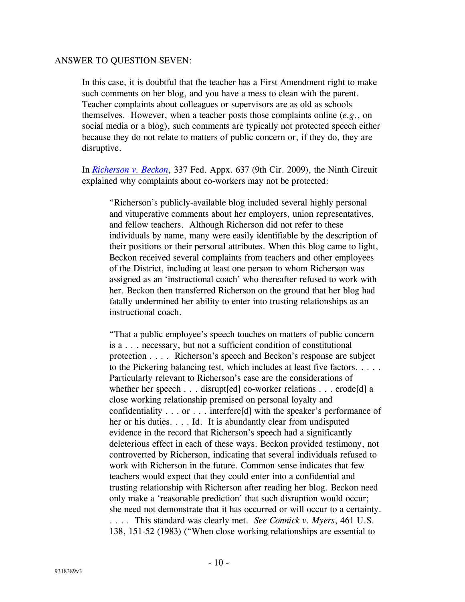#### ANSWER TO QUESTION SEVEN:

In this case, it is doubtful that the teacher has a First Amendment right to make such comments on her blog, and you have a mess to clean with the parent. Teacher complaints about colleagues or supervisors are as old as schools themselves. However, when a teacher posts those complaints online (*e.g.*, on social media or a blog), such comments are typically not protected speech either because they do not relate to matters of public concern or, if they do, they are disruptive.

In *[Richerson v. Beckon](http://www.lawadmin.com/sg/gendocs/richerson.pdf)*, 337 Fed. Appx. 637 (9th Cir. 2009), the Ninth Circuit explained why complaints about co-workers may not be protected:

"Richerson's publicly-available blog included several highly personal and vituperative comments about her employers, union representatives, and fellow teachers. Although Richerson did not refer to these individuals by name, many were easily identifiable by the description of their positions or their personal attributes. When this blog came to light, Beckon received several complaints from teachers and other employees of the District, including at least one person to whom Richerson was assigned as an 'instructional coach' who thereafter refused to work with her. Beckon then transferred Richerson on the ground that her blog had fatally undermined her ability to enter into trusting relationships as an instructional coach.

"That a public employee's speech touches on matters of public concern is a . . . necessary, but not a sufficient condition of constitutional protection . . . . Richerson's speech and Beckon's response are subject to the Pickering balancing test, which includes at least five factors. . . . . Particularly relevant to Richerson's case are the considerations of whether her speech . . . disrupt [ed] co-worker relations . . . erode [d] a close working relationship premised on personal loyalty and confidentiality . . . or . . . interfere[d] with the speaker's performance of her or his duties. . . . Id. It is abundantly clear from undisputed evidence in the record that Richerson's speech had a significantly deleterious effect in each of these ways. Beckon provided testimony, not controverted by Richerson, indicating that several individuals refused to work with Richerson in the future. Common sense indicates that few teachers would expect that they could enter into a confidential and trusting relationship with Richerson after reading her blog. Beckon need only make a 'reasonable prediction' that such disruption would occur; she need not demonstrate that it has occurred or will occur to a certainty. . . . . This standard was clearly met. *See Connick v. Myers*, 461 U.S. 138, 151-52 (1983) ("When close working relationships are essential to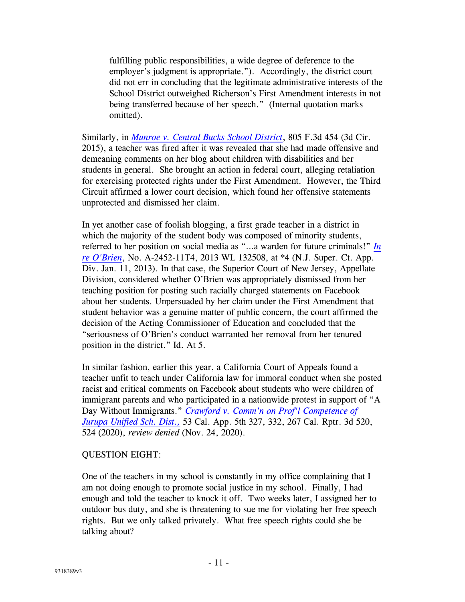fulfilling public responsibilities, a wide degree of deference to the employer's judgment is appropriate."). Accordingly, the district court did not err in concluding that the legitimate administrative interests of the School District outweighed Richerson's First Amendment interests in not being transferred because of her speech." (Internal quotation marks omitted).

Similarly, in *[Munroe v. Central Bucks School District](http://www.lawadmin.com/sg/gendocs/143509p.pdf)*, 805 F.3d 454 (3d Cir. 2015), a teacher was fired after it was revealed that she had made offensive and demeaning comments on her blog about children with disabilities and her students in general. She brought an action in federal court, alleging retaliation for exercising protected rights under the First Amendment. However, the Third Circuit affirmed a lower court decision, which found her offensive statements unprotected and dismissed her claim.

In yet another case of foolish blogging, a first grade teacher in a district in which the majority of the student body was composed of minority students, referred to her position on social media as "…a warden for future criminals!" *In re O'Brien*, No. A-2452-11T4, 2013 WL 132508, at \*4 (N.J. Super. Ct. App. Div. Jan. 11, 2013). In that case, the Superior Court of New Jersey, Appellate Division, considered whether O'Brien was appropriately dismissed from her teaching position for posting such racially charged statements on Facebook about her students. Unpersuaded by her claim under the First Amendment that student behavior was a genuine matter of public concern, the court affirmed the decision of the Acting Commissioner of Education and concluded that the "seriousness of O'Brien's conduct warranted her removal from her tenured position in the district." Id. At 5.

In similar fashion, earlier this year, a California Court of Appeals found a teacher unfit to teach under California law for immoral conduct when she posted racist and critical comments on Facebook about students who were children of immigrant parents and who participated in a nationwide protest in support of "A Day Without Immigrants." *Crawford v. Comm'n on Prof'l Competence of Jurupa Unified Sch. Dist.,* 53 Cal. App. 5th 327, 332, 267 Cal. Rptr. 3d 520, 524 (2020), *review denied* (Nov. 24, 2020).

#### QUESTION EIGHT:

One of the teachers in my school is constantly in my office complaining that I am not doing enough to promote social justice in my school. Finally, I had enough and told the teacher to knock it off. Two weeks later, I assigned her to outdoor bus duty, and she is threatening to sue me for violating her free speech rights. But we only talked privately. What free speech rights could she be talking about?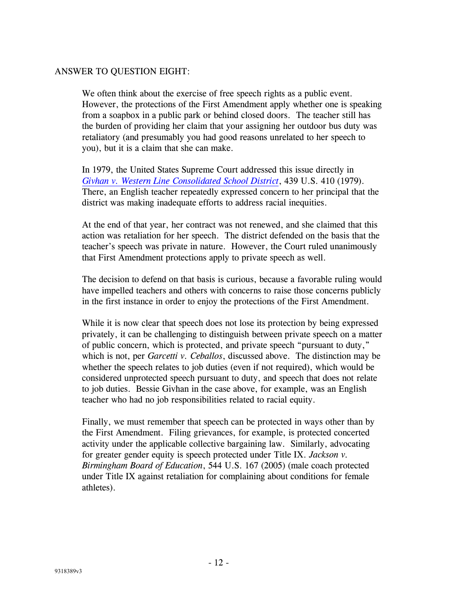## ANSWER TO QUESTION EIGHT:

We often think about the exercise of free speech rights as a public event. However, the protections of the First Amendment apply whether one is speaking from a soapbox in a public park or behind closed doors. The teacher still has the burden of providing her claim that your assigning her outdoor bus duty was retaliatory (and presumably you had good reasons unrelated to her speech to you), but it is a claim that she can make.

In 1979, the United States Supreme Court addressed this issue directly in *[Givhan v. Western Line Consolidated School District](http://www.lawadmin.com/sg/link.asp?i=7705)*, 439 U.S. 410 (1979). There, an English teacher repeatedly expressed concern to her principal that the district was making inadequate efforts to address racial inequities.

At the end of that year, her contract was not renewed, and she claimed that this action was retaliation for her speech. The district defended on the basis that the teacher's speech was private in nature. However, the Court ruled unanimously that First Amendment protections apply to private speech as well.

The decision to defend on that basis is curious, because a favorable ruling would have impelled teachers and others with concerns to raise those concerns publicly in the first instance in order to enjoy the protections of the First Amendment.

While it is now clear that speech does not lose its protection by being expressed privately, it can be challenging to distinguish between private speech on a matter of public concern, which is protected, and private speech "pursuant to duty," which is not, per *Garcetti v. Ceballos*, discussed above. The distinction may be whether the speech relates to job duties (even if not required), which would be considered unprotected speech pursuant to duty, and speech that does not relate to job duties. Bessie Givhan in the case above, for example, was an English teacher who had no job responsibilities related to racial equity.

Finally, we must remember that speech can be protected in ways other than by the First Amendment. Filing grievances, for example, is protected concerted activity under the applicable collective bargaining law. Similarly, advocating for greater gender equity is speech protected under Title IX. *Jackson v. Birmingham Board of Education*, 544 U.S. 167 (2005) (male coach protected under Title IX against retaliation for complaining about conditions for female athletes).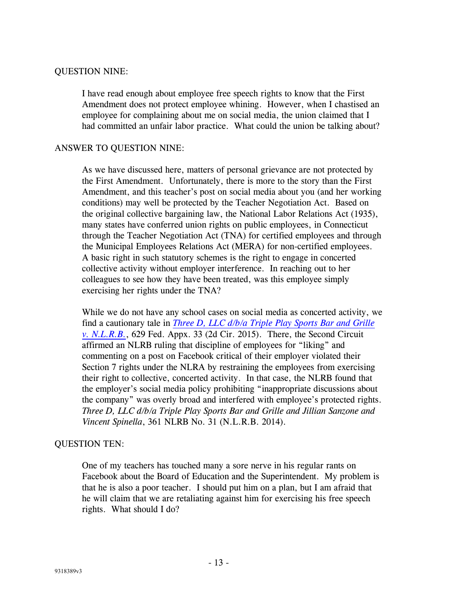## QUESTION NINE:

I have read enough about employee free speech rights to know that the First Amendment does not protect employee whining. However, when I chastised an employee for complaining about me on social media, the union claimed that I had committed an unfair labor practice. What could the union be talking about?

### ANSWER TO QUESTION NINE:

As we have discussed here, matters of personal grievance are not protected by the First Amendment. Unfortunately, there is more to the story than the First Amendment, and this teacher's post on social media about you (and her working conditions) may well be protected by the Teacher Negotiation Act. Based on the original collective bargaining law, the National Labor Relations Act (1935), many states have conferred union rights on public employees, in Connecticut through the Teacher Negotiation Act (TNA) for certified employees and through the Municipal Employees Relations Act (MERA) for non-certified employees. A basic right in such statutory schemes is the right to engage in concerted collective activity without employer interference. In reaching out to her colleagues to see how they have been treated, was this employee simply exercising her rights under the TNA?

While we do not have any school cases on social media as concerted activity, we find a cautionary tale in *[Three D, LLC d/b/a Triple Play Sports Bar and Grille](http://www.lawadmin.com/sg/gendocs/TriplePlay.pdf)  [v. N.L.R.B.](http://www.lawadmin.com/sg/gendocs/TriplePlay.pdf)*, 629 Fed. Appx. 33 (2d Cir. 2015). There, the Second Circuit affirmed an NLRB ruling that discipline of employees for "liking" and commenting on a post on Facebook critical of their employer violated their Section 7 rights under the NLRA by restraining the employees from exercising their right to collective, concerted activity. In that case, the NLRB found that the employer's social media policy prohibiting "inappropriate discussions about the company" was overly broad and interfered with employee's protected rights. *Three D, LLC d/b/a Triple Play Sports Bar and Grille and Jillian Sanzone and Vincent Spinella*, 361 NLRB No. 31 (N.L.R.B. 2014).

## QUESTION TEN:

One of my teachers has touched many a sore nerve in his regular rants on Facebook about the Board of Education and the Superintendent. My problem is that he is also a poor teacher. I should put him on a plan, but I am afraid that he will claim that we are retaliating against him for exercising his free speech rights. What should I do?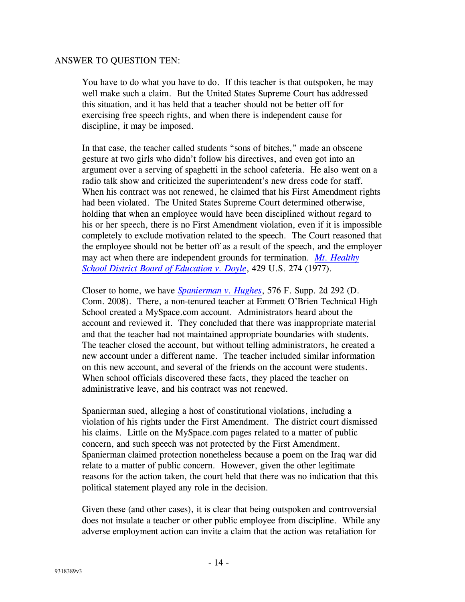### ANSWER TO QUESTION TEN:

You have to do what you have to do. If this teacher is that outspoken, he may well make such a claim. But the United States Supreme Court has addressed this situation, and it has held that a teacher should not be better off for exercising free speech rights, and when there is independent cause for discipline, it may be imposed.

In that case, the teacher called students "sons of bitches," made an obscene gesture at two girls who didn't follow his directives, and even got into an argument over a serving of spaghetti in the school cafeteria. He also went on a radio talk show and criticized the superintendent's new dress code for staff. When his contract was not renewed, he claimed that his First Amendment rights had been violated. The United States Supreme Court determined otherwise, holding that when an employee would have been disciplined without regard to his or her speech, there is no First Amendment violation, even if it is impossible completely to exclude motivation related to the speech. The Court reasoned that the employee should not be better off as a result of the speech, and the employer may act when there are independent grounds for termination. *[Mt. Healthy](http://www.lawadmin.com/sg/link.asp?i=7701)  [School District Board of Education v. Doyle](http://www.lawadmin.com/sg/link.asp?i=7701)*, 429 U.S. 274 (1977).

Closer to home, we have *[Spanierman v. Hughes](http://www.lawadmin.com/sg/gendocs/doc_Spanierman_v_Hughes.pdf)*, 576 F. Supp. 2d 292 (D. Conn. 2008). There, a non-tenured teacher at Emmett O'Brien Technical High School created a MySpace.com account. Administrators heard about the account and reviewed it. They concluded that there was inappropriate material and that the teacher had not maintained appropriate boundaries with students. The teacher closed the account, but without telling administrators, he created a new account under a different name. The teacher included similar information on this new account, and several of the friends on the account were students. When school officials discovered these facts, they placed the teacher on administrative leave, and his contract was not renewed.

Spanierman sued, alleging a host of constitutional violations, including a violation of his rights under the First Amendment. The district court dismissed his claims. Little on the MySpace.com pages related to a matter of public concern, and such speech was not protected by the First Amendment. Spanierman claimed protection nonetheless because a poem on the Iraq war did relate to a matter of public concern. However, given the other legitimate reasons for the action taken, the court held that there was no indication that this political statement played any role in the decision.

Given these (and other cases), it is clear that being outspoken and controversial does not insulate a teacher or other public employee from discipline. While any adverse employment action can invite a claim that the action was retaliation for